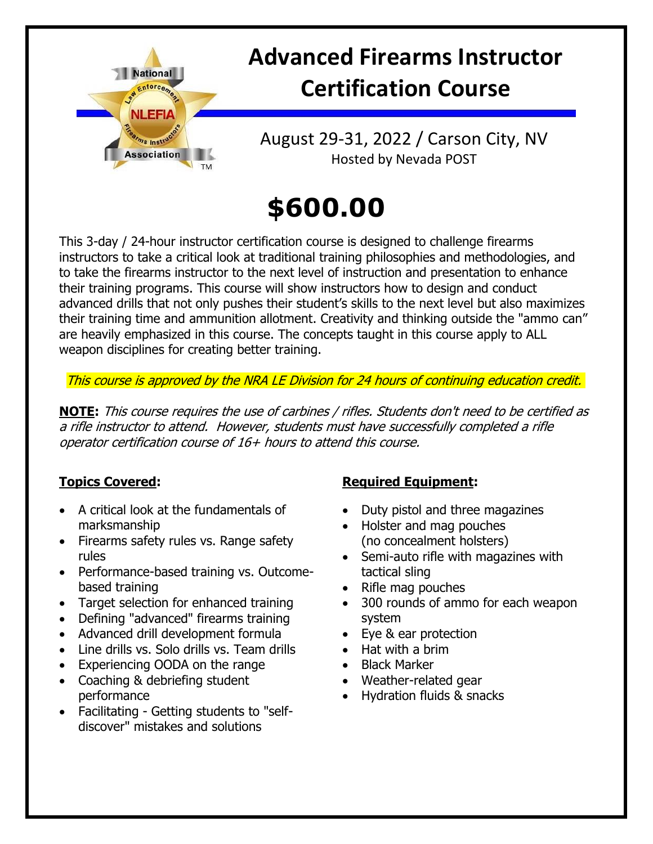

# **Advanced Firearms Instructor Certification Course**

August 29-31, 2022 / Carson City, NV Hosted by Nevada POST

# **\$600.00**

This 3-day / 24-hour instructor certification course is designed to challenge firearms instructors to take a critical look at traditional training philosophies and methodologies, and to take the firearms instructor to the next level of instruction and presentation to enhance their training programs. This course will show instructors how to design and conduct advanced drills that not only pushes their student's skills to the next level but also maximizes their training time and ammunition allotment. Creativity and thinking outside the "ammo can" are heavily emphasized in this course. The concepts taught in this course apply to ALL weapon disciplines for creating better training.

This course is approved by the NRA LE Division for 24 hours of continuing education credit.

**NOTE:** This course requires the use of carbines / rifles. Students don't need to be certified as a rifle instructor to attend. However, students must have successfully completed a rifle operator certification course of 16+ hours to attend this course.

#### **Topics Covered:**

- A critical look at the fundamentals of marksmanship
- Firearms safety rules vs. Range safety rules
- Performance-based training vs. Outcomebased training
- Target selection for enhanced training
- Defining "advanced" firearms training
- Advanced drill development formula
- Line drills vs. Solo drills vs. Team drills
- Experiencing OODA on the range
- Coaching & debriefing student performance
- Facilitating Getting students to "selfdiscover" mistakes and solutions

#### **Required Equipment:**

- Duty pistol and three magazines
- Holster and mag pouches (no concealment holsters)
- Semi-auto rifle with magazines with tactical sling
- Rifle mag pouches
- 300 rounds of ammo for each weapon system
- Eye & ear protection
- Hat with a brim
- Black Marker
- Weather-related gear
- Hydration fluids & snacks